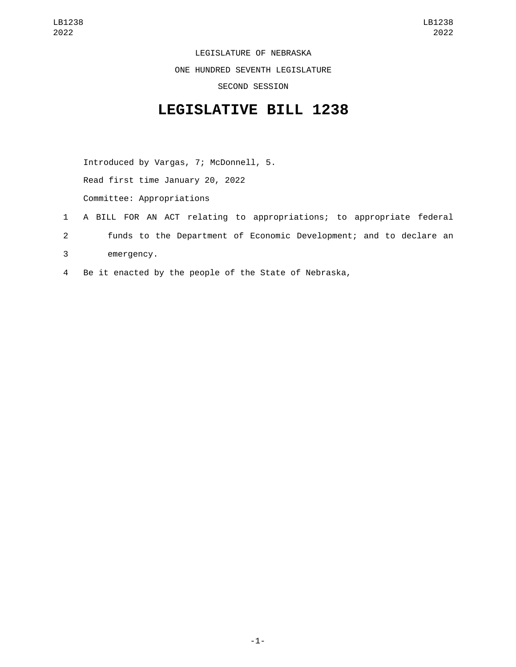LEGISLATURE OF NEBRASKA ONE HUNDRED SEVENTH LEGISLATURE SECOND SESSION

## **LEGISLATIVE BILL 1238**

Introduced by Vargas, 7; McDonnell, 5. Read first time January 20, 2022 Committee: Appropriations

- 1 A BILL FOR AN ACT relating to appropriations; to appropriate federal 2 funds to the Department of Economic Development; and to declare an emergency.3
- 4 Be it enacted by the people of the State of Nebraska,